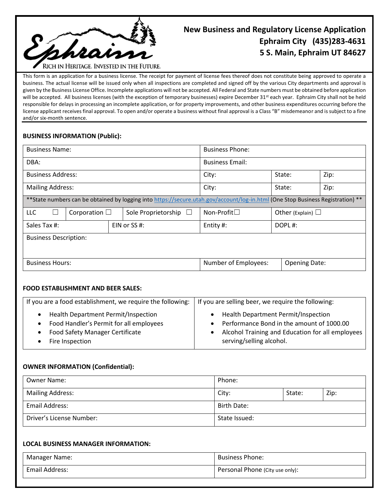

# **New Business and Regulatory License Application Ephraim City (435)283-4631 5 S. Main, Ephraim UT 84627**

This form is an application for a business license. The receipt for payment of license fees thereof does not constitute being approved to operate a business. The actual license will be issued only when all inspections are completed and signed off by the various City departments and approval is given by the Business License Office. Incomplete applications will not be accepted. All Federal and State numbers must be obtained before application will be accepted. All business licenses (with the exception of temporary businesses) expire December 31<sup>st</sup> each year. Ephraim City shall not be held responsible for delays in processing an incomplete application, or for property improvements, and other business expenditures occurring before the license applicant receives final approval. To open and/or operate a business without final approval is a Class "B" misdemeanor and is subject to a fine and/or six-month sentence.

## **BUSINESS INFORMATION (Public):**

| <b>Business Name:</b>                                                                                                            |  |  | <b>Business Phone:</b>     |                        |                      |                        |  |
|----------------------------------------------------------------------------------------------------------------------------------|--|--|----------------------------|------------------------|----------------------|------------------------|--|
| DBA:                                                                                                                             |  |  |                            | <b>Business Email:</b> |                      |                        |  |
| <b>Business Address:</b>                                                                                                         |  |  | City:                      | State:                 |                      | Zip:                   |  |
| <b>Mailing Address:</b>                                                                                                          |  |  | City:                      | State:                 |                      | Zip:                   |  |
| ** State numbers can be obtained by logging into https://secure.utah.gov/account/log-in.html (One Stop Business Registration) ** |  |  |                            |                        |                      |                        |  |
| <b>LLC</b><br>Corporation $\Box$                                                                                                 |  |  | Sole Proprietorship $\Box$ | Non-Profit $\square$   |                      | Other (Explain) $\Box$ |  |
| Sales Tax #:                                                                                                                     |  |  | EIN or $SS #:$             | Entity #:              | DOPL#:               |                        |  |
| <b>Business Description:</b>                                                                                                     |  |  |                            |                        |                      |                        |  |
|                                                                                                                                  |  |  |                            |                        |                      |                        |  |
| <b>Business Hours:</b>                                                                                                           |  |  | Number of Employees:       |                        | <b>Opening Date:</b> |                        |  |

### **FOOD ESTABLISHMENT AND BEER SALES:**

| If you are a food establishment, we require the following: | If you are selling beer, we require the following: |  |  |
|------------------------------------------------------------|----------------------------------------------------|--|--|
| Health Department Permit/Inspection                        | Health Department Permit/Inspection                |  |  |
| Food Handler's Permit for all employees                    | Performance Bond in the amount of 1000.00          |  |  |
| <b>Food Safety Manager Certificate</b>                     | Alcohol Training and Education for all employees   |  |  |
| Fire Inspection                                            | serving/selling alcohol.                           |  |  |

### **OWNER INFORMATION (Confidential):**

| Owner Name:              | Phone:             |        |      |
|--------------------------|--------------------|--------|------|
| <b>Mailing Address:</b>  | City:              | State: | Zip: |
| Email Address:           | <b>Birth Date:</b> |        |      |
| Driver's License Number: | State Issued:      |        |      |

### **LOCAL BUSINESS MANAGER INFORMATION:**

| Manager Name:  | <b>Business Phone:</b>          |
|----------------|---------------------------------|
| Email Address: | Personal Phone (City use only): |